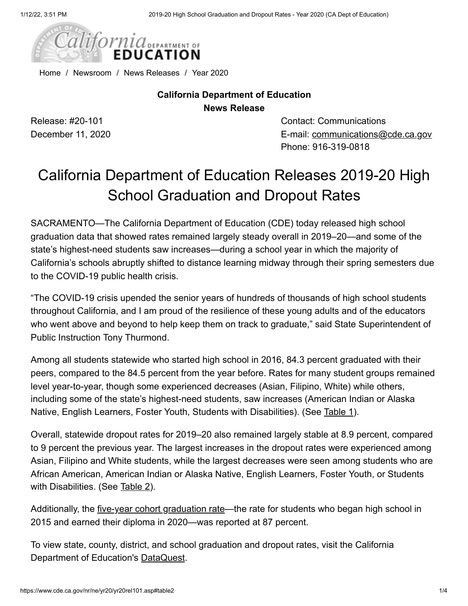

[Home](https://www.cde.ca.gov/) / [Newsroom](https://www.cde.ca.gov/nr/) / [News Releases](https://www.cde.ca.gov/nr/ne/) / [Year 2020](https://www.cde.ca.gov/nr/ne/yr20/)

### **California Department of Education News Release**

Release: #20-101 December 11, 2020 Contact: Communications E-mail: [communications@cde.ca.gov](mailto:communications@cde.ca.gov) Phone: 916-319-0818

# California Department of Education Releases 2019-20 High School Graduation and Dropout Rates

SACRAMENTO—The California Department of Education (CDE) today released high school graduation data that showed rates remained largely steady overall in 2019–20—and some of the state's highest-need students saw increases—during a school year in which the majority of California's schools abruptly shifted to distance learning midway through their spring semesters due to the COVID-19 public health crisis.

"The COVID-19 crisis upended the senior years of hundreds of thousands of high school students throughout California, and I am proud of the resilience of these young adults and of the educators who went above and beyond to help keep them on track to graduate," said State Superintendent of Public Instruction Tony Thurmond.

Among all students statewide who started high school in 2016, 84.3 percent graduated with their peers, compared to the 84.5 percent from the year before. Rates for many student groups remained level year-to-year, though some experienced decreases (Asian, Filipino, White) while others, including some of the state's highest-need students, saw increases (American Indian or Alaska Native, English Learners, Foster Youth, Students with Disabilities). (See [Table 1](#page-1-0)).

Overall, statewide dropout rates for 2019–20 also remained largely stable at 8.9 percent, compared to 9 percent the previous year. The largest increases in the dropout rates were experienced among Asian, Filipino and White students, while the largest decreases were seen among students who are African American, American Indian or Alaska Native, English Learners, Foster Youth, or Students with Disabilities. (See [Table 2](#page-2-0)).

Additionally, the [five-year cohort graduation rate](https://data1.cde.ca.gov/dataquest/dqcensus/Coh5yr4YrComp.aspx?cds=00&agglevel=state&year=2019-20)—the rate for students who began high school in 2015 and earned their diploma in 2020—was reported at 87 percent.

To view state, county, district, and school graduation and dropout rates, visit the California Department of Education's [DataQuest.](https://dq.cde.ca.gov/dataquest/)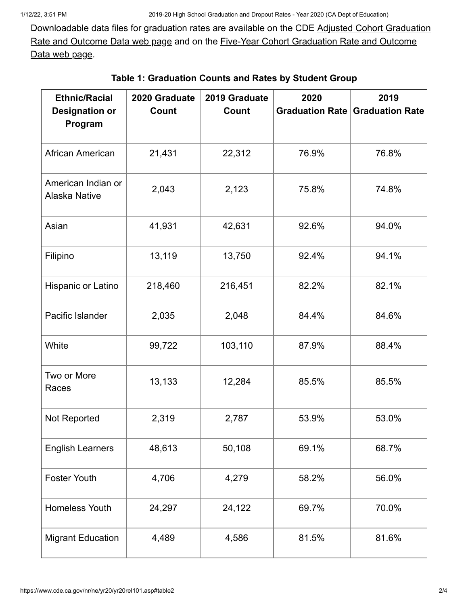[Downloadable data files for graduation rates are available on the CDE Adjusted Cohort Graduation](https://www.cde.ca.gov/ds/sd/sd/filesacgr.asp) [Rate and Outcome Data web page and on the Five-Year Cohort Graduation Rate and Outcome](https://www.cde.ca.gov/ds/sd/sd/filesfycgr.asp) Data web page.

<span id="page-1-0"></span>

| <b>Ethnic/Racial</b>                       | 2020 Graduate | 2019 Graduate | 2020  | 2019                                   |
|--------------------------------------------|---------------|---------------|-------|----------------------------------------|
| <b>Designation or</b><br>Program           | Count         | Count         |       | <b>Graduation Rate Graduation Rate</b> |
| African American                           | 21,431        | 22,312        | 76.9% | 76.8%                                  |
| American Indian or<br><b>Alaska Native</b> | 2,043         | 2,123         | 75.8% | 74.8%                                  |
| Asian                                      | 41,931        | 42,631        | 92.6% | 94.0%                                  |
| Filipino                                   | 13,119        | 13,750        | 92.4% | 94.1%                                  |
| Hispanic or Latino                         | 218,460       | 216,451       | 82.2% | 82.1%                                  |
| Pacific Islander                           | 2,035         | 2,048         | 84.4% | 84.6%                                  |
| White                                      | 99,722        | 103,110       | 87.9% | 88.4%                                  |
| Two or More<br>Races                       | 13,133        | 12,284        | 85.5% | 85.5%                                  |
| Not Reported                               | 2,319         | 2,787         | 53.9% | 53.0%                                  |
| <b>English Learners</b>                    | 48,613        | 50,108        | 69.1% | 68.7%                                  |
| <b>Foster Youth</b>                        | 4,706         | 4,279         | 58.2% | 56.0%                                  |
| <b>Homeless Youth</b>                      | 24,297        | 24,122        | 69.7% | 70.0%                                  |
| <b>Migrant Education</b>                   | 4,489         | 4,586         | 81.5% | 81.6%                                  |

#### **Table 1: Graduation Counts and Rates by Student Group**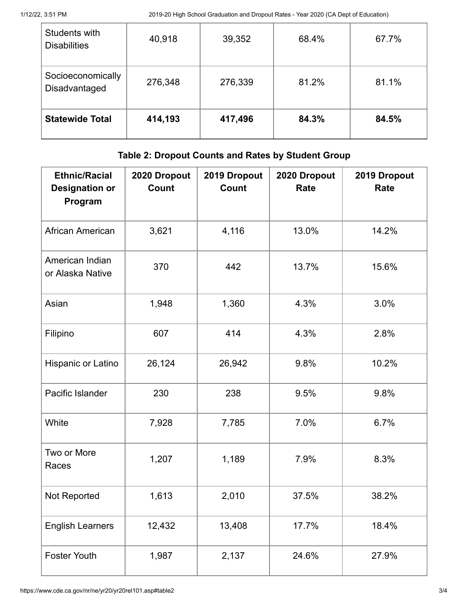| Students with<br><b>Disabilities</b> | 40,918  | 39,352  | 68.4% | 67.7% |
|--------------------------------------|---------|---------|-------|-------|
| Socioeconomically<br>Disadvantaged   | 276,348 | 276,339 | 81.2% | 81.1% |
| <b>Statewide Total</b>               | 414,193 | 417,496 | 84.3% | 84.5% |

## **Table 2: Dropout Counts and Rates by Student Group**

<span id="page-2-0"></span>

| <b>Ethnic/Racial</b><br><b>Designation or</b><br>Program | 2020 Dropout<br>Count | 2019 Dropout<br>Count | 2020 Dropout<br>Rate | 2019 Dropout<br>Rate |
|----------------------------------------------------------|-----------------------|-----------------------|----------------------|----------------------|
| African American                                         | 3,621                 | 4,116                 | 13.0%                | 14.2%                |
| American Indian<br>or Alaska Native                      | 370                   | 442                   | 13.7%                | 15.6%                |
| Asian                                                    | 1,948                 | 1,360                 | 4.3%                 | 3.0%                 |
| Filipino                                                 | 607                   | 414                   | 4.3%                 | 2.8%                 |
| Hispanic or Latino                                       | 26,124                | 26,942                | 9.8%                 | 10.2%                |
| Pacific Islander                                         | 230                   | 238                   | 9.5%                 | 9.8%                 |
| White                                                    | 7,928                 | 7,785                 | 7.0%                 | 6.7%                 |
| Two or More<br>Races                                     | 1,207                 | 1,189                 | 7.9%                 | 8.3%                 |
| Not Reported                                             | 1,613                 | 2,010                 | 37.5%                | 38.2%                |
| <b>English Learners</b>                                  | 12,432                | 13,408                | 17.7%                | 18.4%                |
| <b>Foster Youth</b>                                      | 1,987                 | 2,137                 | 24.6%                | 27.9%                |